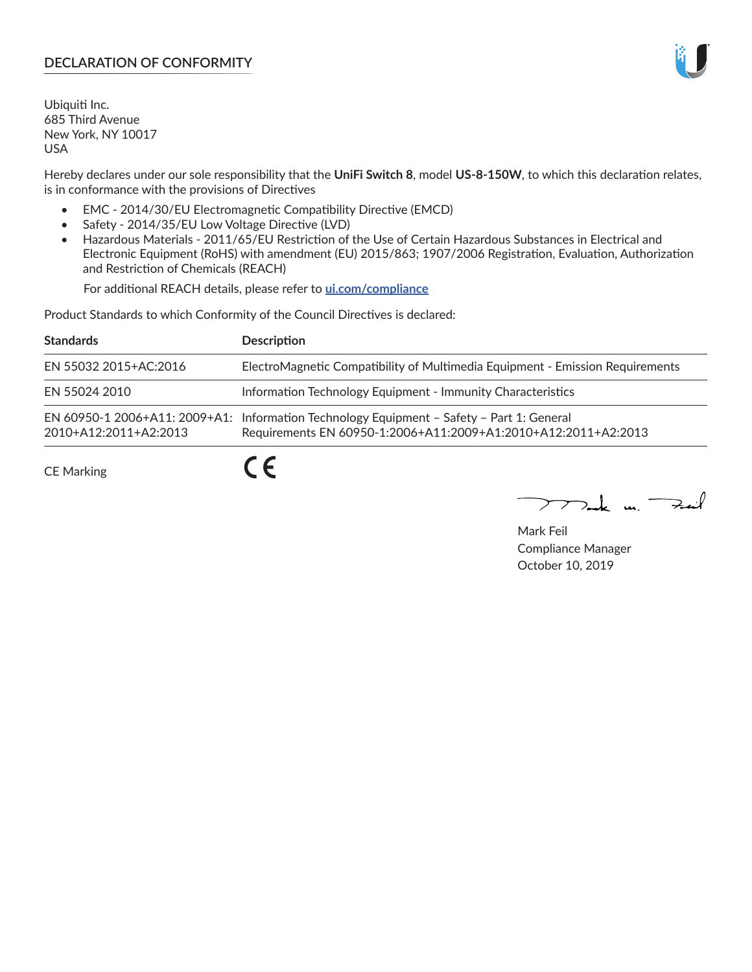# **DECLARATION OF CONFORMITY**

Ubiquiti Inc. 685 Third Avenue New York, NY 10017 USA

Hereby declares under our sole responsibility that the **UniFi Switch 8**, model **US-8-150W**, to which this declaration relates, is in conformance with the provisions of Directives

- EMC 2014/30/EU Electromagnetic Compatibility Directive (EMCD)
- Safety 2014/35/EU Low Voltage Directive (LVD)
- Hazardous Materials 2011/65/EU Restriction of the Use of Certain Hazardous Substances in Electrical and Electronic Equipment (RoHS) with amendment (EU) 2015/863; 1907/2006 Registration, Evaluation, Authorization and Restriction of Chemicals (REACH)

For additional REACH details, please refer to **[ui.com/compliance](https://dl.ui.com/compliance/REACH_Compliance_Declaration.pdf)**

Product Standards to which Conformity of the Council Directives is declared:

| <b>Standards</b>      | <b>Description</b>                                                                                                                                          |
|-----------------------|-------------------------------------------------------------------------------------------------------------------------------------------------------------|
| EN 55032 2015+AC:2016 | ElectroMagnetic Compatibility of Multimedia Equipment - Emission Requirements                                                                               |
| EN 55024 2010         | Information Technology Equipment - Immunity Characteristics                                                                                                 |
| 2010+A12:2011+A2:2013 | EN 60950-1 2006+A11: 2009+A1: Information Technology Equipment - Safety - Part 1: General<br>Requirements EN 60950-1:2006+A11:2009+A1:2010+A12:2011+A2:2013 |
| <b>CE Marking</b>     |                                                                                                                                                             |

Mak m. Fuil

Mark Feil Compliance Manager October 10, 2019

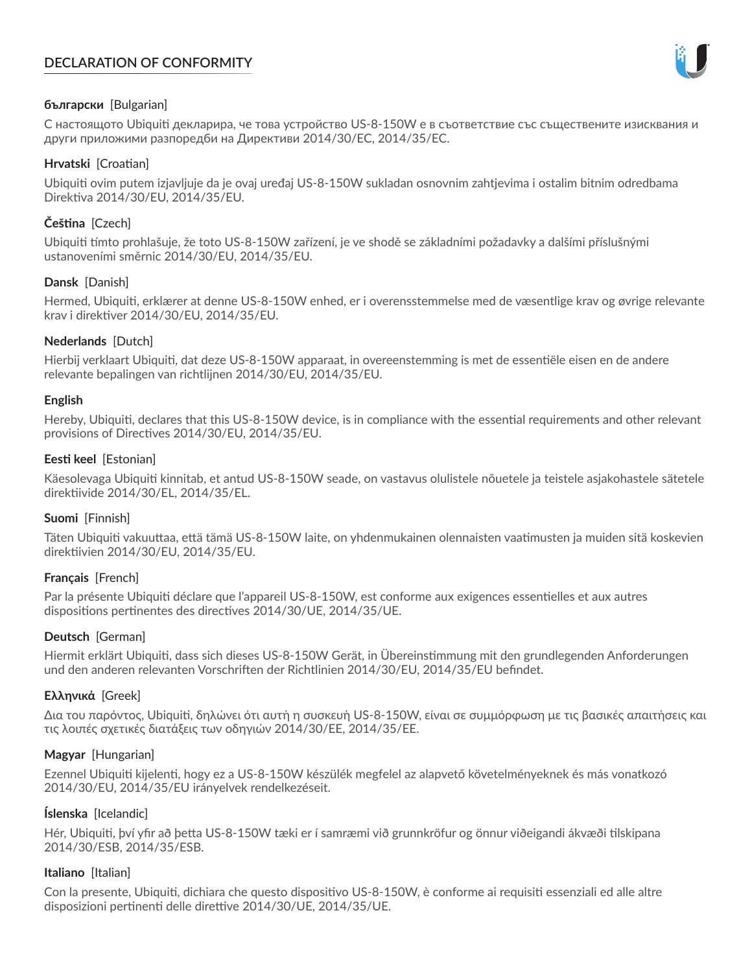# **DECLARATION OF CONFORMITY**



## **български** [Bulgarian]

С настоящото Ubiquiti декларира, че това устройство US-8-150W е в съответствие със съществените изисквания и други приложими разпоредби на Директиви 2014/30/ЕС, 2014/35/ЕС.

## **Hrvatski** [Croatian]

Ubiquiti ovim putem izjavljuje da je ovaj uređaj US-8-150W sukladan osnovnim zahtjevima i ostalim bitnim odredbama Direktiva 2014/30/EU, 2014/35/EU.

# **Čeština** [Czech]

Ubiquiti tímto prohlašuje, že toto US-8-150W zařízení, je ve shodě se základními požadavky a dalšími příslušnými ustanoveními směrnic 2014/30/EU, 2014/35/EU.

## **Dansk** [Danish]

Hermed, Ubiquiti, erklærer at denne US-8-150W enhed, er i overensstemmelse med de væsentlige krav og øvrige relevante krav i direktiver 2014/30/EU, 2014/35/EU.

## **Nederlands** [Dutch]

Hierbij verklaart Ubiquiti, dat deze US-8-150W apparaat, in overeenstemming is met de essentiële eisen en de andere relevante bepalingen van richtlijnen 2014/30/EU, 2014/35/EU.

### **English**

Hereby, Ubiquiti, declares that this US-8-150W device, is in compliance with the essential requirements and other relevant provisions of Directives 2014/30/EU, 2014/35/EU.

## **Eesti keel** [Estonian]

Käesolevaga Ubiquiti kinnitab, et antud US-8-150W seade, on vastavus olulistele nõuetele ja teistele asjakohastele sätetele direktiivide 2014/30/EL, 2014/35/EL.

### **Suomi** [Finnish]

Täten Ubiquiti vakuuttaa, että tämä US-8-150W laite, on yhdenmukainen olennaisten vaatimusten ja muiden sitä koskevien direktiivien 2014/30/EU, 2014/35/EU.

### **Français** [French]

Par la présente Ubiquiti déclare que l'appareil US-8-150W, est conforme aux exigences essentielles et aux autres dispositions pertinentes des directives 2014/30/UE, 2014/35/UE.

# **Deutsch** [German]

Hiermit erklärt Ubiquiti, dass sich dieses US-8-150W Gerät, in Übereinstimmung mit den grundlegenden Anforderungen und den anderen relevanten Vorschriften der Richtlinien 2014/30/EU, 2014/35/EU befindet.

### **Ελληνικά** [Greek]

Δια του παρόντος, Ubiquiti, δηλώνει ότι αυτή η συσκευή US-8-150W, είναι σε συμμόρφωση με τις βασικές απαιτήσεις και τις λοιπές σχετικές διατάξεις των οδηγιών 2014/30/EE, 2014/35/EE.

### **Magyar** [Hungarian]

Ezennel Ubiquiti kijelenti, hogy ez a US-8-150W készülék megfelel az alapvető követelményeknek és más vonatkozó 2014/30/EU, 2014/35/EU irányelvek rendelkezéseit.

### **Íslenska** [Icelandic]

Hér, Ubiquiti, því yfir að þetta US-8-150W tæki er í samræmi við grunnkröfur og önnur viðeigandi ákvæði tilskipana 2014/30/ESB, 2014/35/ESB.

### **Italiano** [Italian]

Con la presente, Ubiquiti, dichiara che questo dispositivo US-8-150W, è conforme ai requisiti essenziali ed alle altre disposizioni pertinenti delle direttive 2014/30/UE, 2014/35/UE.